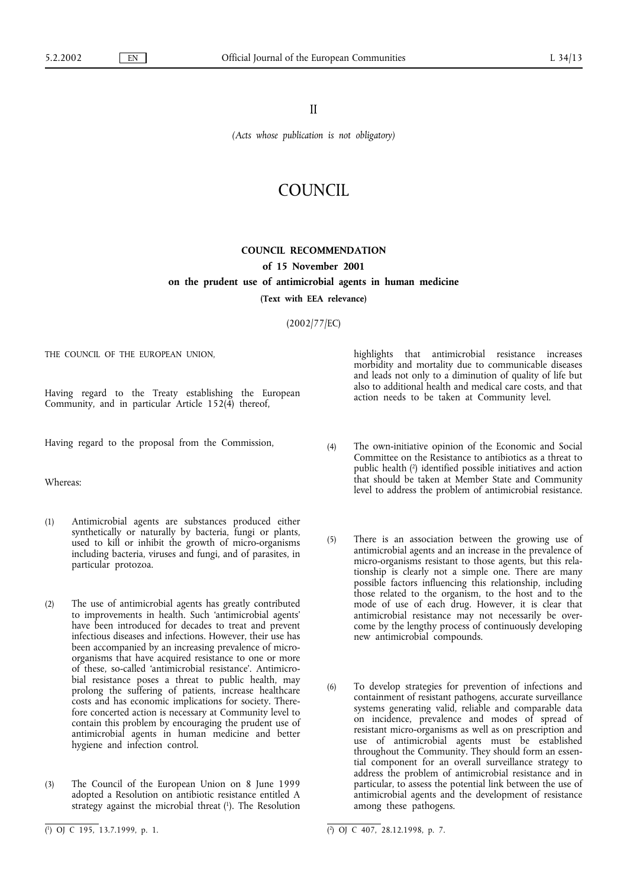II

*(Acts whose publication is not obligatory)*

## COUNCIL

## **COUNCIL RECOMMENDATION of 15 November 2001 on the prudent use of antimicrobial agents in human medicine**

**(Text with EEA relevance)**

## (2002/77/EC)

THE COUNCIL OF THE EUROPEAN UNION.

Having regard to the Treaty establishing the European Community, and in particular Article 152(4) thereof,

Having regard to the proposal from the Commission,

Whereas:

- (1) Antimicrobial agents are substances produced either synthetically or naturally by bacteria, fungi or plants, used to kill or inhibit the growth of micro-organisms including bacteria, viruses and fungi, and of parasites, in particular protozoa.
- (2) The use of antimicrobial agents has greatly contributed to improvements in health. Such 'antimicrobial agents' have been introduced for decades to treat and prevent infectious diseases and infections. However, their use has been accompanied by an increasing prevalence of microorganisms that have acquired resistance to one or more of these, so-called 'antimicrobial resistance'. Antimicrobial resistance poses a threat to public health, may prolong the suffering of patients, increase healthcare costs and has economic implications for society. Therefore concerted action is necessary at Community level to contain this problem by encouraging the prudent use of antimicrobial agents in human medicine and better hygiene and infection control.
- (3) The Council of the European Union on 8 June 1999 adopted a Resolution on antibiotic resistance entitled A strategy against the microbial threat (1). The Resolution

 $(1)$  OJ C 195, 13.7.1999, p. 1.

highlights that antimicrobial resistance increases morbidity and mortality due to communicable diseases and leads not only to a diminution of quality of life but also to additional health and medical care costs, and that action needs to be taken at Community level.

- (4) The own-initiative opinion of the Economic and Social Committee on the Resistance to antibiotics as a threat to public health (2) identified possible initiatives and action that should be taken at Member State and Community level to address the problem of antimicrobial resistance.
- (5) There is an association between the growing use of antimicrobial agents and an increase in the prevalence of micro-organisms resistant to those agents, but this relationship is clearly not a simple one. There are many possible factors influencing this relationship, including those related to the organism, to the host and to the mode of use of each drug. However, it is clear that antimicrobial resistance may not necessarily be overcome by the lengthy process of continuously developing new antimicrobial compounds.
- (6) To develop strategies for prevention of infections and containment of resistant pathogens, accurate surveillance systems generating valid, reliable and comparable data on incidence, prevalence and modes of spread of resistant micro-organisms as well as on prescription and use of antimicrobial agents must be established throughout the Community. They should form an essential component for an overall surveillance strategy to address the problem of antimicrobial resistance and in particular, to assess the potential link between the use of antimicrobial agents and the development of resistance among these pathogens.

 $\overline{(^2)}$  OJ C 407, 28.12.1998, p. 7.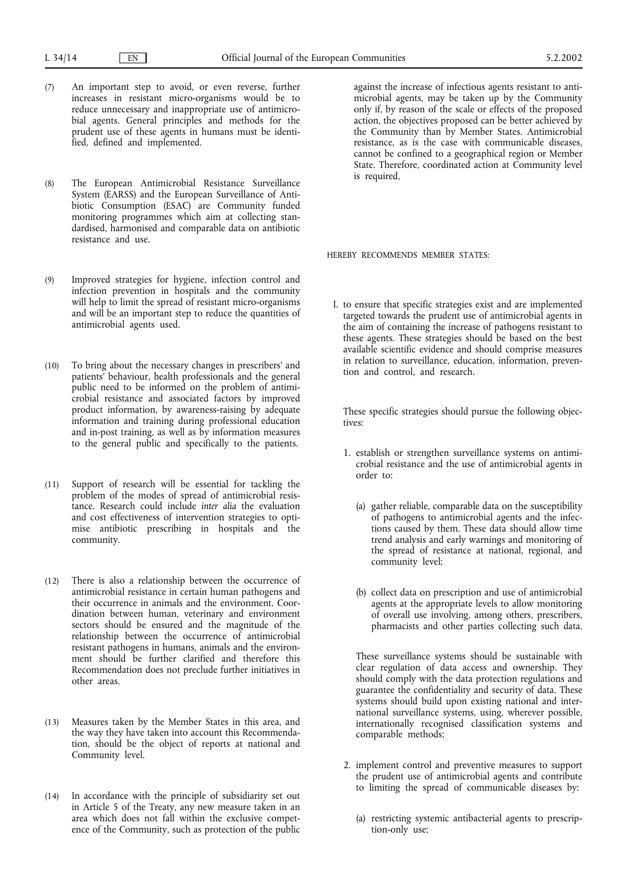- (7) An important step to avoid, or even reverse, further increases in resistant micro-organisms would be to reduce unnecessary and inappropriate use of antimicrobial agents. General principles and methods for the prudent use of these agents in humans must be identified, defined and implemented.
- (8) The European Antimicrobial Resistance Surveillance System (EARSS) and the European Surveillance of Antibiotic Consumption (ESAC) are Community funded monitoring programmes which aim at collecting standardised, harmonised and comparable data on antibiotic resistance and use.
- (9) Improved strategies for hygiene, infection control and infection prevention in hospitals and the community will help to limit the spread of resistant micro-organisms and will be an important step to reduce the quantities of antimicrobial agents used.
- (10) To bring about the necessary changes in prescribers' and patients' behaviour, health professionals and the general public need to be informed on the problem of antimicrobial resistance and associated factors by improved product information, by awareness-raising by adequate information and training during professional education and in-post training, as well as by information measures to the general public and specifically to the patients.
- (11) Support of research will be essential for tackling the problem of the modes of spread of antimicrobial resistance. Research could include *inter alia* the evaluation and cost effectiveness of intervention strategies to optimise antibiotic prescribing in hospitals and the community.
- (12) There is also a relationship between the occurrence of antimicrobial resistance in certain human pathogens and their occurrence in animals and the environment. Coordination between human, veterinary and environment sectors should be ensured and the magnitude of the relationship between the occurrence of antimicrobial resistant pathogens in humans, animals and the environment should be further clarified and therefore this Recommendation does not preclude further initiatives in other areas.
- (13) Measures taken by the Member States in this area, and the way they have taken into account this Recommendation, should be the object of reports at national and Community level.
- (14) In accordance with the principle of subsidiarity set out in Article 5 of the Treaty, any new measure taken in an area which does not fall within the exclusive competence of the Community, such as protection of the public

against the increase of infectious agents resistant to antimicrobial agents, may be taken up by the Community only if, by reason of the scale or effects of the proposed action, the objectives proposed can be better achieved by the Community than by Member States. Antimicrobial resistance, as is the case with communicable diseases, cannot be confined to a geographical region or Member State. Therefore, coordinated action at Community level is required,

HEREBY RECOMMENDS MEMBER STATES:

I. to ensure that specific strategies exist and are implemented targeted towards the prudent use of antimicrobial agents in the aim of containing the increase of pathogens resistant to these agents. These strategies should be based on the best available scientific evidence and should comprise measures in relation to surveillance, education, information, prevention and control, and research.

These specific strategies should pursue the following objectives:

- 1. establish or strengthen surveillance systems on antimicrobial resistance and the use of antimicrobial agents in order to:
	- (a) gather reliable, comparable data on the susceptibility of pathogens to antimicrobial agents and the infections caused by them. These data should allow time trend analysis and early warnings and monitoring of the spread of resistance at national, regional, and community level;
	- (b) collect data on prescription and use of antimicrobial agents at the appropriate levels to allow monitoring of overall use involving, among others, prescribers, pharmacists and other parties collecting such data.

These surveillance systems should be sustainable with clear regulation of data access and ownership. They should comply with the data protection regulations and guarantee the confidentiality and security of data. These systems should build upon existing national and international surveillance systems, using, wherever possible, internationally recognised classification systems and comparable methods;

- 2. implement control and preventive measures to support the prudent use of antimicrobial agents and contribute to limiting the spread of communicable diseases by:
	- (a) restricting systemic antibacterial agents to prescription-only use;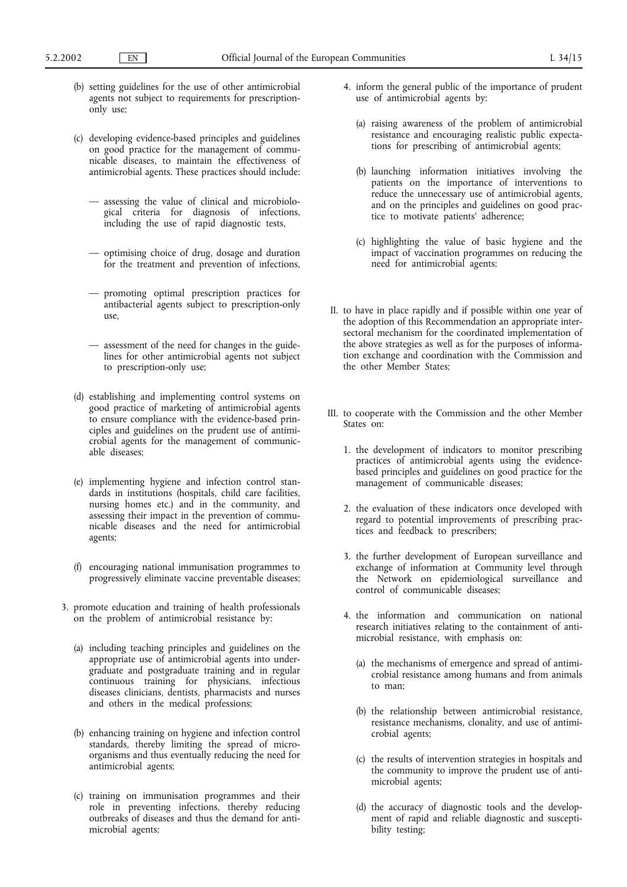- (b) setting guidelines for the use of other antimicrobial agents not subject to requirements for prescriptiononly use;
- (c) developing evidence-based principles and guidelines on good practice for the management of communicable diseases, to maintain the effectiveness of antimicrobial agents. These practices should include:
	- assessing the value of clinical and microbiological criteria for diagnosis of infections, including the use of rapid diagnostic tests,
	- optimising choice of drug, dosage and duration for the treatment and prevention of infections,
	- promoting optimal prescription practices for antibacterial agents subject to prescription-only use,
	- assessment of the need for changes in the guidelines for other antimicrobial agents not subject to prescription-only use;
- (d) establishing and implementing control systems on good practice of marketing of antimicrobial agents to ensure compliance with the evidence-based principles and guidelines on the prudent use of antimicrobial agents for the management of communicable diseases;
- (e) implementing hygiene and infection control standards in institutions (hospitals, child care facilities, nursing homes etc.) and in the community, and assessing their impact in the prevention of communicable diseases and the need for antimicrobial agents;
- (f) encouraging national immunisation programmes to progressively eliminate vaccine preventable diseases;
- 3. promote education and training of health professionals on the problem of antimicrobial resistance by:
	- (a) including teaching principles and guidelines on the appropriate use of antimicrobial agents into undergraduate and postgraduate training and in regular continuous training for physicians, infectious diseases clinicians, dentists, pharmacists and nurses and others in the medical professions;
	- (b) enhancing training on hygiene and infection control standards, thereby limiting the spread of microorganisms and thus eventually reducing the need for antimicrobial agents;
	- (c) training on immunisation programmes and their role in preventing infections, thereby reducing outbreaks of diseases and thus the demand for antimicrobial agents;
- 4. inform the general public of the importance of prudent use of antimicrobial agents by:
	- (a) raising awareness of the problem of antimicrobial resistance and encouraging realistic public expectations for prescribing of antimicrobial agents;
	- (b) launching information initiatives involving the patients on the importance of interventions to reduce the unnecessary use of antimicrobial agents, and on the principles and guidelines on good practice to motivate patients' adherence;
	- (c) highlighting the value of basic hygiene and the impact of vaccination programmes on reducing the need for antimicrobial agents;
- II. to have in place rapidly and if possible within one year of the adoption of this Recommendation an appropriate intersectoral mechanism for the coordinated implementation of the above strategies as well as for the purposes of information exchange and coordination with the Commission and the other Member States;
- III. to cooperate with the Commission and the other Member States on:
	- 1. the development of indicators to monitor prescribing practices of antimicrobial agents using the evidencebased principles and guidelines on good practice for the management of communicable diseases;
	- 2. the evaluation of these indicators once developed with regard to potential improvements of prescribing practices and feedback to prescribers;
	- 3. the further development of European surveillance and exchange of information at Community level through the Network on epidemiological surveillance and control of communicable diseases;
	- 4. the information and communication on national research initiatives relating to the containment of antimicrobial resistance, with emphasis on:
		- (a) the mechanisms of emergence and spread of antimicrobial resistance among humans and from animals to man;
		- (b) the relationship between antimicrobial resistance, resistance mechanisms, clonality, and use of antimicrobial agents;
		- (c) the results of intervention strategies in hospitals and the community to improve the prudent use of antimicrobial agents;
		- (d) the accuracy of diagnostic tools and the development of rapid and reliable diagnostic and susceptibility testing;